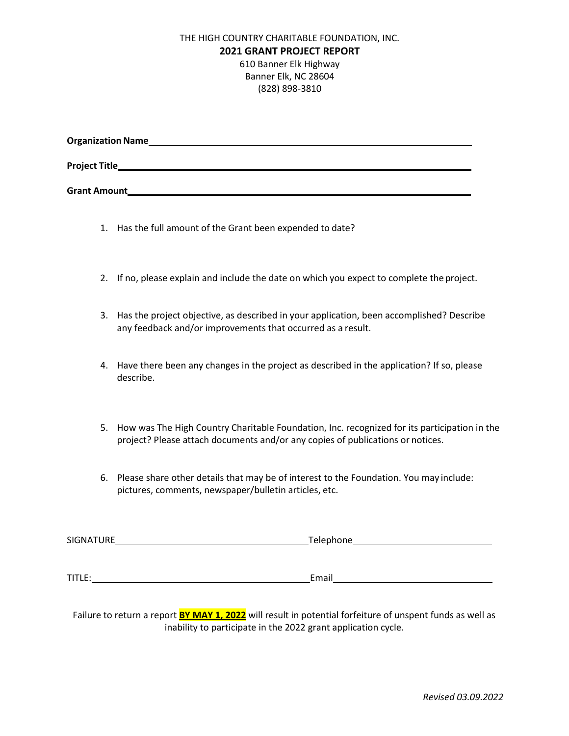## THE HIGH COUNTRY CHARITABLE FOUNDATION, INC. **2021 GRANT PROJECT REPORT** 610 Banner Elk Highway Banner Elk, NC 28604 (828) 898-3810

| <b>Organization Name</b> |  |  |
|--------------------------|--|--|
| <b>Project Title</b>     |  |  |
| <b>Grant Amount</b>      |  |  |

- 1. Has the full amount of the Grant been expended to date?
- 2. If no, please explain and include the date on which you expect to complete the project.
- 3. Has the project objective, as described in your application, been accomplished? Describe any feedback and/or improvements that occurred as a result.
- 4. Have there been any changes in the project as described in the application? If so, please describe.
- 5. How was The High Country Charitable Foundation, Inc. recognized for its participation in the project? Please attach documents and/or any copies of publications or notices.
- 6. Please share other details that may be of interest to the Foundation. You may include: pictures, comments, newspaper/bulletin articles, etc.

| SIGNATURE | Telephone |  |  |
|-----------|-----------|--|--|
|           |           |  |  |
|           |           |  |  |
| TITLE:    | Email     |  |  |

Failure to return a report **BY MAY 1, 2022** will result in potential forfeiture of unspent funds as well as inability to participate in the 2022 grant application cycle.